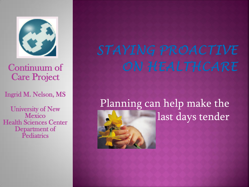

#### Continuum of Care Project

#### Ingrid M. Nelson, MS

University of New **Mexico** Health Sciences Center Department of **Pediatrics** 

# STAYING PROACTIVE ON HEALTHCARE

# Planning can help make the last days tender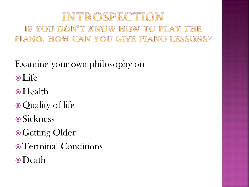### INTROSPECTION IF YOU DON'T KNOW HOW TO PLAY THE PIANO, HOW CAN YOU GIVE PIANO LESSONS?

Examine your own philosophy on

- Life
- Health
- Quality of life
- **⊙Sickness**
- **.** Getting Older
- Terminal Conditions
- Death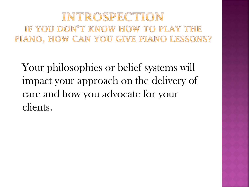#### INTROSPECTION IF YOU DON'T KNOW HOW TO PLAY THE PIANO, HOW CAN YOU GIVE PIANO LESSONS?

Your philosophies or belief systems will impact your approach on the delivery of care and how you advocate for your clients.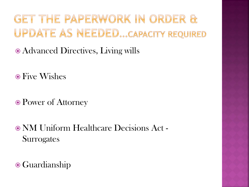GET THE PAPERWORK IN ORDER & UPDATE AS NEEDED...CAPACITY REQUIRED

- Advanced Directives, Living wills
- Five Wishes
- Power of Attorney
- NM Uniform Healthcare Decisions Act **Surrogates**
- Guardianship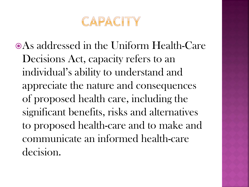

As addressed in the Uniform Health-Care Decisions Act, capacity refers to an individual's ability to understand and appreciate the nature and consequences of proposed health care, including the significant benefits, risks and alternatives to proposed health-care and to make and communicate an informed health-care decision.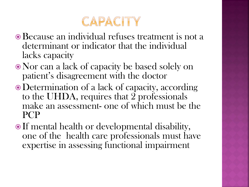

- Because an individual refuses treatment is not a determinant or indicator that the individual lacks capacity
- Nor can a lack of capacity be based solely on patient's disagreement with the doctor
- Determination of a lack of capacity, according to the UHDA, requires that 2 professionals make an assessment- one of which must be the PCP
- If mental health or developmental disability, one of the health care professionals must have expertise in assessing functional impairment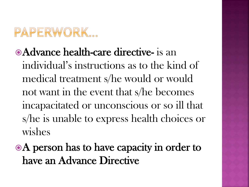# PAPERWORK...

- **Advance health-care directive-** is an individual's instructions as to the kind of medical treatment s/he would or would not want in the event that s/he becomes incapacitated or unconscious or so ill that s/he is unable to express health choices or wishes
- A person has to have capacity in order to have an Advance Directive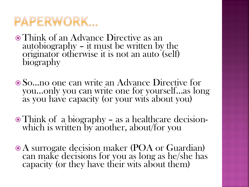## PAPERWORK...

- Think of an Advance Directive as an autobiography – it must be written by the originator otherwise it is not an auto (self) biography
- So…no one can write an Advance Directive for you…only you can write one for yourself…as long as you have capacity (or your wits about you)
- Think of a biography as a healthcare decisionwhich is written by another, about/for you
- A surrogate decision maker (POA or Guardian) can make decisions for you as long as he/she has capacity (or they have their wits about them)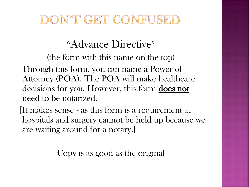### DON'T GET CONFUSED

### "Advance Directive"

(the form with this name on the top)

 Through this form, you can name a Power of Attorney (POA). The POA will make healthcare decisions for you. However, this form does not need to be notarized.

 [It makes sense - as this form is a requirement at hospitals and surgery cannot be held up because we are waiting around for a notary.]

Copy is as good as the original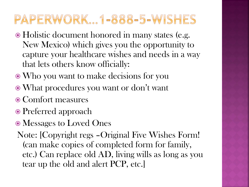## PAPERWORK 1-888-5-WISHES

- Holistic document honored in many states (e.g. New Mexico) which gives you the opportunity to capture your healthcare wishes and needs in a way that lets others know officially:
- Who you want to make decisions for you
- What procedures you want or don't want
- Comfort measures
- Preferred approach
- Messages to Loved Ones
- Note: [Copyright regs –Original Five Wishes Form! (can make copies of completed form for family, etc.) Can replace old AD, living wills as long as you tear up the old and alert PCP, etc.]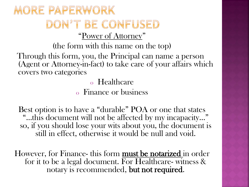### MORE PAPERWORK DON'T BE CONFUSED "Power of Attorney"

(the form with this name on the top) Through this form, you, the Principal can name a person (Agent or Attorney-in-fact) to take care of your affairs which covers two categories

o Healthcare

o Finance or business

Best option is to have a "durable" POA or one that states "…this document will not be affected by my incapacity…" so, if you should lose your wits about you, the document is still in effect, otherwise it would be null and void.

However, for Finance- this form **must be notarized** in order for it to be a legal document. For Healthcare- witness & notary is recommended, but not required.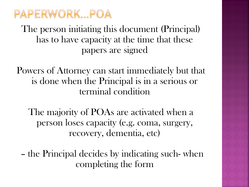

The person initiating this document (Principal) has to have capacity at the time that these papers are signed

Powers of Attorney can start immediately but that is done when the Principal is in a serious or terminal condition

The majority of POAs are activated when a person loses capacity (e.g. coma, surgery, recovery, dementia, etc)

– the Principal decides by indicating such- when completing the form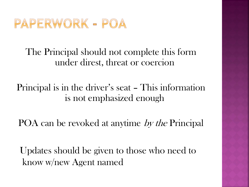

#### The Principal should not complete this form under direst, threat or coercion

#### Principal is in the driver's seat – This information is not emphasized enough

POA can be revoked at anytime by the Principal

 Updates should be given to those who need to know w/new Agent named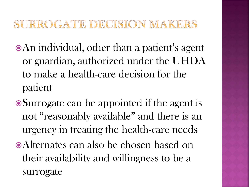### SURROGATE DECISION MAKERS

- An individual, other than a patient's agent or guardian, authorized under the UHDA to make a health-care decision for the patient
- Surrogate can be appointed if the agent is not "reasonably available" and there is an urgency in treating the health-care needs
- Alternates can also be chosen based on their availability and willingness to be a surrogate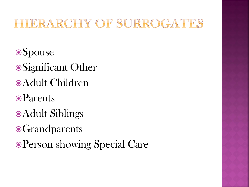### UERARCHY OF SURROGATES

**Spouse** Significant Other Adult Children **o**Parents Adult Siblings  $\odot$ **Grandparents** Person showing Special Care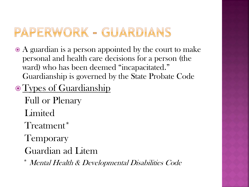## PAPERWORK - GUARDIANS

- A guardian is a person appointed by the court to make personal and health care decisions for a person (the ward) who has been deemed "incapacitated." Guardianship is governed by the State Probate Code
- Types of Guardianship
	- Full or Plenary Limited Treatment\*
	- **Temporary**
	- Guardian ad Litem
	- Mental Health & Developmental Disabilities Code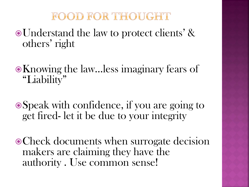### FOOD FOR THOUGHT

- Understand the law to protect clients' & others' right
- Knowing the law…less imaginary fears of "Liability"
- Speak with confidence, if you are going to get fired- let it be due to your integrity
- Check documents when surrogate decision makers are claiming they have the authority . Use common sense!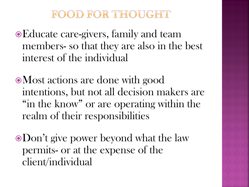#### FOOD FOR THOUGHT

Educate care-givers, family and team members- so that they are also in the best interest of the individual

Most actions are done with good intentions, but not all decision makers are "in the know" or are operating within the realm of their responsibilities

Don't give power beyond what the law permits- or at the expense of the client/individual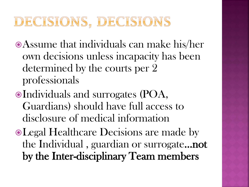# DECISIONS, DECISIONS

- Assume that individuals can make his/her own decisions unless incapacity has been determined by the courts per 2 professionals
- Individuals and surrogates (POA, Guardians) should have full access to disclosure of medical information
- Legal Healthcare Decisions are made by the Individual , guardian or surrogate…not by the Inter-disciplinary Team members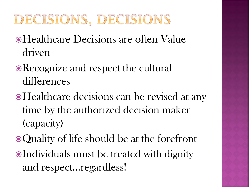# DECISIONS, DECISIONS

- Healthcare Decisions are often Value driven
- Recognize and respect the cultural differences
- Healthcare decisions can be revised at any time by the authorized decision maker (capacity)
- Quality of life should be at the forefront
- Individuals must be treated with dignity and respect…regardless!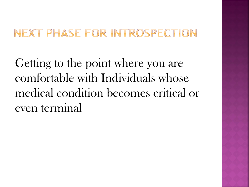### NEXT PHASE FOR INTROSPECTION

Getting to the point where you are comfortable with Individuals whose medical condition becomes critical or even terminal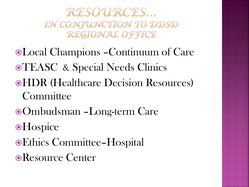RESOURCES... IN CONJUNCTION TO DDSD REGIONAL OFFICE

- Local Champions –Continuum of Care **• TEASC** & Special Needs Clinics HDR (Healthcare Decision Resources) **Committee**
- Ombudsman –Long-term Care
- **•Hospice**
- Ethics Committee–Hospital
- Resource Center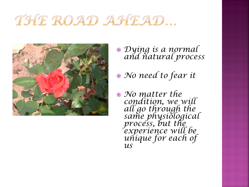# THE ROAD AHEAD...



- *Dying is a normal and natural process*
- *No need to fear it*
- *No matter the condition, we will all go through the same physiological process, but the experience will be unique for each of us*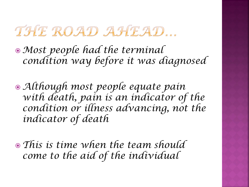# THE ROAD AHEAD...

*Most people had the terminal condition way before it was diagnosed*

- *Although most people equate pain with death, pain is an indicator of the condition or illness advancing, not the indicator of death*
- *This is time when the team should come to the aid of the individual*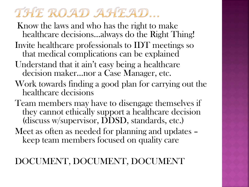# THE ROAD AHEAD...

Know the laws and who has the right to make healthcare decisions…always do the Right Thing!

- Invite healthcare professionals to IDT meetings so that medical complications can be explained
- Understand that it ain't easy being a healthcare decision maker…nor a Case Manager, etc.
- Work towards finding a good plan for carrying out the healthcare decisions
- Team members may have to disengage themselves if they cannot ethically support a healthcare decision (discuss w/supervisor, DDSD, standards, etc.)
- Meet as often as needed for planning and updates keep team members focused on quality care

#### DOCUMENT, DOCUMENT, DOCUMENT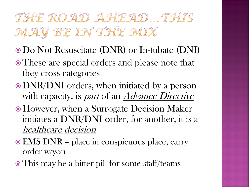THE ROAD AHEAD. THIS MAY BE IN THE MIX

- Do Not Resuscitate (DNR) or In-tubate (DNI)
- These are special orders and please note that they cross categories
- DNR/DNI orders, when initiated by a person with capacity, is *part* of an *Advance Directive*
- However, when a Surrogate Decision Maker initiates a DNR/DNI order, for another, it is a healthcare decision
- EMS DNR place in conspicuous place, carry order w/you
- This may be a bitter pill for some staff/teams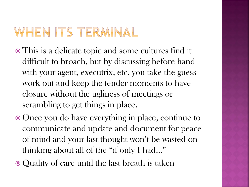## WHEN ITS TERMINAL

- This is a delicate topic and some cultures find it difficult to broach, but by discussing before hand with your agent, executrix, etc. you take the guess work out and keep the tender moments to have closure without the ugliness of meetings or scrambling to get things in place.
- Once you do have everything in place, continue to communicate and update and document for peace of mind and your last thought won't be wasted on thinking about all of the "if only I had…"
- Quality of care until the last breath is taken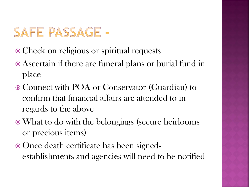## SAFE PASSAGE -

- Check on religious or spiritual requests
- Ascertain if there are funeral plans or burial fund in place
- Connect with POA or Conservator (Guardian) to confirm that financial affairs are attended to in regards to the above
- What to do with the belongings (secure heirlooms or precious items)
- Once death certificate has been signedestablishments and agencies will need to be notified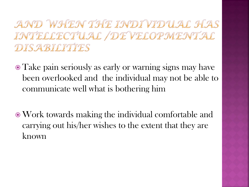AND WHEN THE INDIVIDUAL HAS INTELLECTUAL / DEVELOPMENTAL DISABILITIES

- Take pain seriously as early or warning signs may have been overlooked and the individual may not be able to communicate well what is bothering him
- Work towards making the individual comfortable and carrying out his/her wishes to the extent that they are known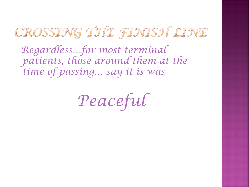## CROSSING THE FINISH LINE

 *Regardless…for most terminal patients, those around them at the time of passing… say it is was*

*Peaceful*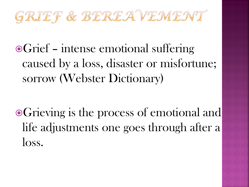

■Grief – intense emotional suffering caused by a loss, disaster or misfortune; sorrow (Webster Dictionary)

Grieving is the process of emotional and life adjustments one goes through after a loss.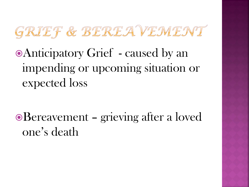

Anticipatory Grief - caused by an impending or upcoming situation or expected loss

Bereavement – grieving after a loved one's death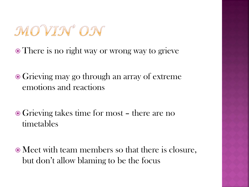# MOVIN ON

• There is no right way or wrong way to grieve

- Grieving may go through an array of extreme emotions and reactions
- Grieving takes time for most there are no timetables
- Meet with team members so that there is closure, but don't allow blaming to be the focus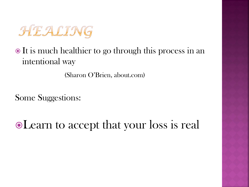

#### $\bullet$  It is much healthier to go through this process in an intentional way

(Sharon O'Brien, about.com)

Some Suggestions:

Learn to accept that your loss is real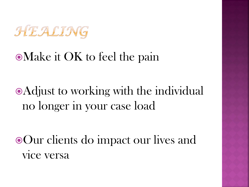

### Make it OK to feel the pain

# Adjust to working with the individual no longer in your case load

Our clients do impact our lives and vice versa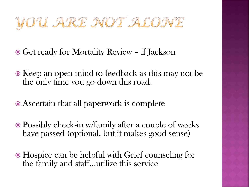# YOU ARE NOT ALONE

- Get ready for Mortality Review if Jackson
- $\bullet$  Keep an open mind to feedback as this may not be the only time you go down this road.
- Ascertain that all paperwork is complete
- Possibly check-in w/family after a couple of weeks have passed (optional, but it makes good sense)
- Hospice can be helpful with Grief counseling for the family and staff…utilize this service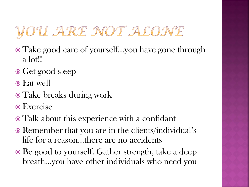# YOU ARE NOT ALONE

- Take good care of yourself…you have gone through a lot!!
- Get good sleep
- Eat well
- Take breaks during work
- Exercise
- Talk about this experience with a confidant
- Remember that you are in the clients/individual's life for a reason…there are no accidents
- Be good to yourself. Gather strength, take a deep breath…you have other individuals who need you